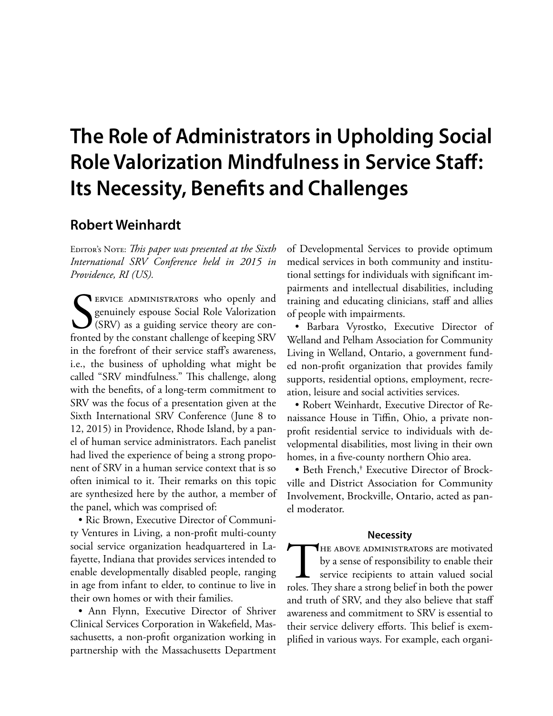# **The Role of Administrators in Upholding Social Role Valorization Mindfulness in Service Staf: Its Necessity, Benefts and Challenges**

# **Robert Weinhardt**

EDITOR's NOTE: *This paper was presented at the Sixth International SRV Conference held in 2015 in Providence, RI (US).*

SERVICE ADMINISTRATORS who openly and genuinely espouse Social Role Valorization (SRV) as a guiding service theory are confronted by the constant challenge of keeping SRV genuinely espouse Social Role Valorization (SRV) as a guiding service theory are confronted by the constant challenge of keeping SRV in the forefront of their service staf's awareness, i.e., the business of upholding what might be called "SRV mindfulness." This challenge, along with the benefts, of a long-term commitment to SRV was the focus of a presentation given at the Sixth International SRV Conference (June 8 to 12, 2015) in Providence, Rhode Island, by a panel of human service administrators. Each panelist had lived the experience of being a strong proponent of SRV in a human service context that is so often inimical to it. Their remarks on this topic are synthesized here by the author, a member of the panel, which was comprised of:

• Ric Brown, Executive Director of Community Ventures in Living, a non-proft multi-county social service organization headquartered in Lafayette, Indiana that provides services intended to enable developmentally disabled people, ranging in age from infant to elder, to continue to live in their own homes or with their families.

• Ann Flynn, Executive Director of Shriver Clinical Services Corporation in Wakefeld, Massachusetts, a non-proft organization working in partnership with the Massachusetts Department

of Developmental Services to provide optimum medical services in both community and institutional settings for individuals with signifcant impairments and intellectual disabilities, including training and educating clinicians, staff and allies of people with impairments.

· Barbara Vyrostko, Executive Director of Welland and Pelham Association for Community Living in Welland, Ontario, a government funded non-proft organization that provides family supports, residential options, employment, recreation, leisure and social activities services.

• Robert Weinhardt, Executive Director of Renaissance House in Tiffin, Ohio, a private nonproft residential service to individuals with developmental disabilities, most living in their own homes, in a fve-county northern Ohio area.

• Beth French,<sup>†</sup> Executive Director of Brockville and District Association for Community Involvement, Brockville, Ontario, acted as panel moderator.

#### **Necessity**

THE ABOVE ADMINISTRATORS are motivated<br>by a sense of responsibility to enable their<br>service recipients to attain valued social<br>roles. They share a strong belief in both the power by a sense of responsibility to enable their service recipients to attain valued social roles. They share a strong belief in both the power and truth of SRV, and they also believe that staf awareness and commitment to SRV is essential to their service delivery efforts. This belief is exemplified in various ways. For example, each organi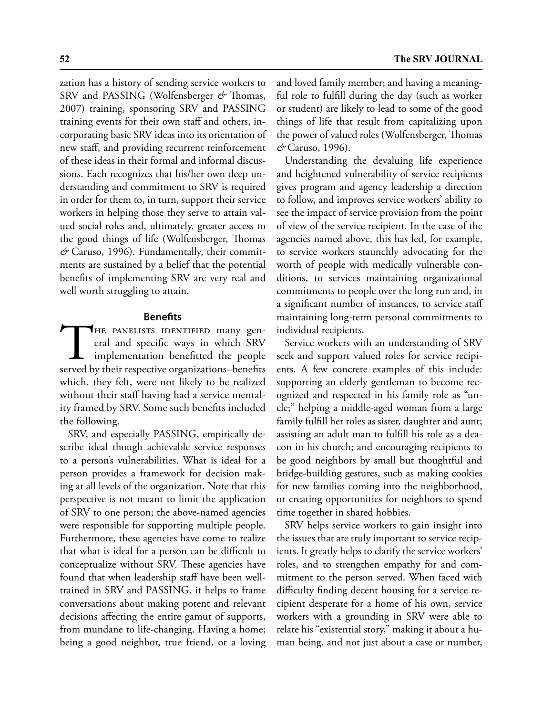zation has a history of sending service workers to SRV and PASSING (Wolfensberger & Thomas, 2007) training, sponsoring SRV and PASSING training events for their own staff and others, incorporating basic SRV ideas into its orientation of new staf, and providing recurrent reinforcement of these ideas in their formal and informal discussions. Each recognizes that his/her own deep understanding and commitment to SRV is required in order for them to, in turn, support their service workers in helping those they serve to attain valued social roles and, ultimately, greater access to the good things of life (Wolfensberger, Thomas & Caruso, 1996). Fundamentally, their commitments are sustained by a belief that the potential benefts of implementing SRV are very real and well worth struggling to attain.

## **Benefts**

THE PANELISTS IDENTIFIED many general and specific ways in which SRV implementation benefitted the people served by their respective organizations-benefits eral and specifc ways in which SRV implementation beneftted the people served by their respective organizations–benefts which, they felt, were not likely to be realized without their staff having had a service mentality framed by SRV. Some such benefts included the following.

SRV, and especially PASSING, empirically describe ideal though achievable service responses to a person's vulnerabilities. What is ideal for a person provides a framework for decision making at all levels of the organization. Note that this perspective is not meant to limit the application of SRV to one person; the above-named agencies were responsible for supporting multiple people. Furthermore, these agencies have come to realize that what is ideal for a person can be difficult to conceptualize without SRV. These agencies have found that when leadership staff have been welltrained in SRV and PASSING, it helps to frame conversations about making potent and relevant decisions afecting the entire gamut of supports, from mundane to life-changing. Having a home; being a good neighbor, true friend, or a loving

and loved family member; and having a meaningful role to fulfll during the day (such as worker or student) are likely to lead to some of the good things of life that result from capitalizing upon the power of valued roles (Wolfensberger, Thomas *&* Caruso, 1996).

Understanding the devaluing life experience and heightened vulnerability of service recipients gives program and agency leadership a direction to follow, and improves service workers' ability to see the impact of service provision from the point of view of the service recipient. In the case of the agencies named above, this has led, for example, to service workers staunchly advocating for the worth of people with medically vulnerable conditions, to services maintaining organizational commitments to people over the long run and, in a signifcant number of instances, to service staf maintaining long-term personal commitments to individual recipients.

Service workers with an understanding of SRV seek and support valued roles for service recipients. A few concrete examples of this include: supporting an elderly gentleman to become recognized and respected in his family role as "uncle;" helping a middle-aged woman from a large family fulfll her roles as sister, daughter and aunt; assisting an adult man to fulfll his role as a deacon in his church; and encouraging recipients to be good neighbors by small but thoughtful and bridge-building gestures, such as making cookies for new families coming into the neighborhood, or creating opportunities for neighbors to spend time together in shared hobbies.

SRV helps service workers to gain insight into the issues that are truly important to service recipients. It greatly helps to clarify the service workers' roles, and to strengthen empathy for and commitment to the person served. When faced with difficulty finding decent housing for a service recipient desperate for a home of his own, service workers with a grounding in SRV were able to relate his "existential story," making it about a human being, and not just about a case or number,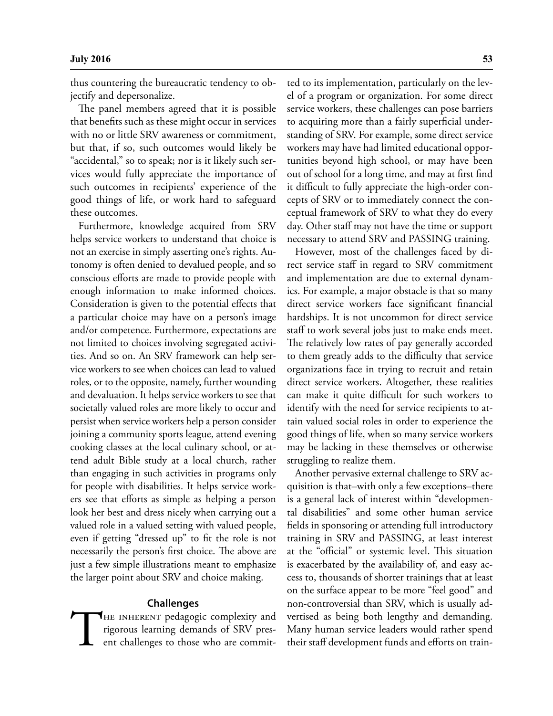thus countering the bureaucratic tendency to objectify and depersonalize.

The panel members agreed that it is possible that benefts such as these might occur in services with no or little SRV awareness or commitment, but that, if so, such outcomes would likely be "accidental," so to speak; nor is it likely such services would fully appreciate the importance of such outcomes in recipients' experience of the good things of life, or work hard to safeguard these outcomes.

Furthermore, knowledge acquired from SRV helps service workers to understand that choice is not an exercise in simply asserting one's rights. Autonomy is often denied to devalued people, and so conscious efforts are made to provide people with enough information to make informed choices. Consideration is given to the potential efects that a particular choice may have on a person's image and/or competence. Furthermore, expectations are not limited to choices involving segregated activities. And so on. An SRV framework can help service workers to see when choices can lead to valued roles, or to the opposite, namely, further wounding and devaluation. It helps service workers to see that societally valued roles are more likely to occur and persist when service workers help a person consider joining a community sports league, attend evening cooking classes at the local culinary school, or attend adult Bible study at a local church, rather than engaging in such activities in programs only for people with disabilities. It helps service workers see that eforts as simple as helping a person look her best and dress nicely when carrying out a valued role in a valued setting with valued people, even if getting "dressed up" to ft the role is not necessarily the person's first choice. The above are just a few simple illustrations meant to emphasize the larger point about SRV and choice making.

#### **Challenges**

THE INHERENT pedagogic complexity and rigorous learning demands of SRV present challenges to those who are committed to its implementation, particularly on the level of a program or organization. For some direct service workers, these challenges can pose barriers to acquiring more than a fairly superfcial understanding of SRV. For example, some direct service workers may have had limited educational opportunities beyond high school, or may have been out of school for a long time, and may at frst fnd it difficult to fully appreciate the high-order concepts of SRV or to immediately connect the conceptual framework of SRV to what they do every day. Other staf may not have the time or support necessary to attend SRV and PASSING training.

However, most of the challenges faced by direct service staff in regard to SRV commitment and implementation are due to external dynamics. For example, a major obstacle is that so many direct service workers face signifcant fnancial hardships. It is not uncommon for direct service staff to work several jobs just to make ends meet. The relatively low rates of pay generally accorded to them greatly adds to the difficulty that service organizations face in trying to recruit and retain direct service workers. Altogether, these realities can make it quite difficult for such workers to identify with the need for service recipients to attain valued social roles in order to experience the good things of life, when so many service workers may be lacking in these themselves or otherwise struggling to realize them.

Another pervasive external challenge to SRV acquisition is that–with only a few exceptions–there is a general lack of interest within "developmental disabilities" and some other human service felds in sponsoring or attending full introductory training in SRV and PASSING, at least interest at the "official" or systemic level. This situation is exacerbated by the availability of, and easy access to, thousands of shorter trainings that at least on the surface appear to be more "feel good" and non-controversial than SRV, which is usually advertised as being both lengthy and demanding. Many human service leaders would rather spend their staf development funds and eforts on train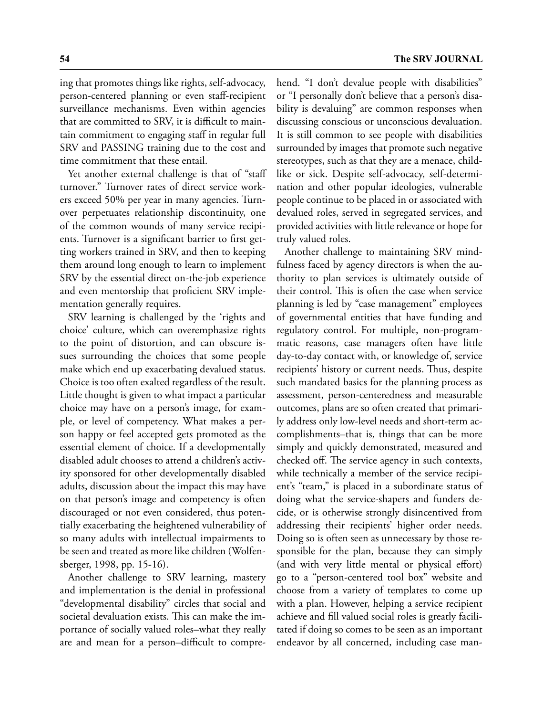ing that promotes things like rights, self-advocacy, person-centered planning or even staf-recipient surveillance mechanisms. Even within agencies that are committed to SRV, it is difficult to maintain commitment to engaging staf in regular full SRV and PASSING training due to the cost and time commitment that these entail.

Yet another external challenge is that of "staff turnover." Turnover rates of direct service workers exceed 50% per year in many agencies. Turnover perpetuates relationship discontinuity, one of the common wounds of many service recipients. Turnover is a signifcant barrier to frst getting workers trained in SRV, and then to keeping them around long enough to learn to implement SRV by the essential direct on-the-job experience and even mentorship that proficient SRV implementation generally requires.

SRV learning is challenged by the 'rights and choice' culture, which can overemphasize rights to the point of distortion, and can obscure issues surrounding the choices that some people make which end up exacerbating devalued status. Choice is too often exalted regardless of the result. Little thought is given to what impact a particular choice may have on a person's image, for example, or level of competency. What makes a person happy or feel accepted gets promoted as the essential element of choice. If a developmentally disabled adult chooses to attend a children's activity sponsored for other developmentally disabled adults, discussion about the impact this may have on that person's image and competency is often discouraged or not even considered, thus potentially exacerbating the heightened vulnerability of so many adults with intellectual impairments to be seen and treated as more like children (Wolfensberger, 1998, pp. 15-16).

Another challenge to SRV learning, mastery and implementation is the denial in professional "developmental disability" circles that social and societal devaluation exists. This can make the importance of socially valued roles–what they really are and mean for a person-difficult to compre-

hend. "I don't devalue people with disabilities" or "I personally don't believe that a person's disability is devaluing" are common responses when discussing conscious or unconscious devaluation. It is still common to see people with disabilities surrounded by images that promote such negative stereotypes, such as that they are a menace, childlike or sick. Despite self-advocacy, self-determination and other popular ideologies, vulnerable people continue to be placed in or associated with devalued roles, served in segregated services, and provided activities with little relevance or hope for truly valued roles.

Another challenge to maintaining SRV mindfulness faced by agency directors is when the authority to plan services is ultimately outside of their control. This is often the case when service planning is led by "case management" employees of governmental entities that have funding and regulatory control. For multiple, non-programmatic reasons, case managers often have little day-to-day contact with, or knowledge of, service recipients' history or current needs. Thus, despite such mandated basics for the planning process as assessment, person-centeredness and measurable outcomes, plans are so often created that primarily address only low-level needs and short-term accomplishments–that is, things that can be more simply and quickly demonstrated, measured and checked off. The service agency in such contexts, while technically a member of the service recipient's "team," is placed in a subordinate status of doing what the service-shapers and funders decide, or is otherwise strongly disincentived from addressing their recipients' higher order needs. Doing so is often seen as unnecessary by those responsible for the plan, because they can simply (and with very little mental or physical efort) go to a "person-centered tool box" website and choose from a variety of templates to come up with a plan. However, helping a service recipient achieve and fll valued social roles is greatly facilitated if doing so comes to be seen as an important endeavor by all concerned, including case man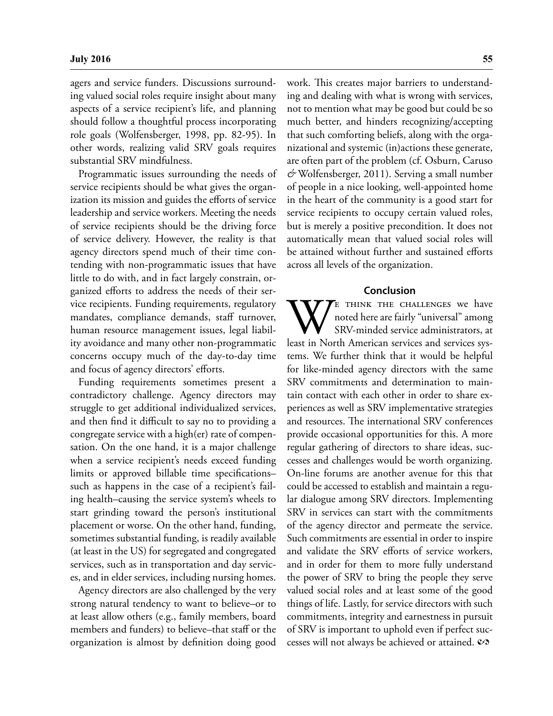agers and service funders. Discussions surrounding valued social roles require insight about many aspects of a service recipient's life, and planning should follow a thoughtful process incorporating role goals (Wolfensberger, 1998, pp. 82-95). In other words, realizing valid SRV goals requires substantial SRV mindfulness.

Programmatic issues surrounding the needs of service recipients should be what gives the organization its mission and guides the efforts of service leadership and service workers. Meeting the needs of service recipients should be the driving force of service delivery. However, the reality is that agency directors spend much of their time contending with non-programmatic issues that have little to do with, and in fact largely constrain, organized eforts to address the needs of their service recipients. Funding requirements, regulatory mandates, compliance demands, staff turnover, human resource management issues, legal liability avoidance and many other non-programmatic concerns occupy much of the day-to-day time and focus of agency directors' efforts.

Funding requirements sometimes present a contradictory challenge. Agency directors may struggle to get additional individualized services, and then find it difficult to say no to providing a congregate service with a high(er) rate of compensation. On the one hand, it is a major challenge when a service recipient's needs exceed funding limits or approved billable time specifications– such as happens in the case of a recipient's failing health–causing the service system's wheels to start grinding toward the person's institutional placement or worse. On the other hand, funding, sometimes substantial funding, is readily available (at least in the US) for segregated and congregated services, such as in transportation and day services, and in elder services, including nursing homes.

Agency directors are also challenged by the very strong natural tendency to want to believe–or to at least allow others (e.g., family members, board members and funders) to believe–that staff or the organization is almost by defnition doing good work. This creates major barriers to understanding and dealing with what is wrong with services, not to mention what may be good but could be so much better, and hinders recognizing/accepting that such comforting beliefs, along with the organizational and systemic (in)actions these generate, are often part of the problem (cf. Osburn, Caruso *&* Wolfensberger, 2011). Serving a small number of people in a nice looking, well-appointed home in the heart of the community is a good start for service recipients to occupy certain valued roles, but is merely a positive precondition. It does not automatically mean that valued social roles will be attained without further and sustained eforts across all levels of the organization.

#### **Conclusion**

WE THINK THE CHALLENGES we have<br>
noted here are fairly "universal" among<br>
SRV-minded service administrators, at<br>
least in North American services and services sysnoted here are fairly "universal" among SRV-minded service administrators, at tems. We further think that it would be helpful for like-minded agency directors with the same SRV commitments and determination to maintain contact with each other in order to share experiences as well as SRV implementative strategies and resources. The international SRV conferences provide occasional opportunities for this. A more regular gathering of directors to share ideas, successes and challenges would be worth organizing. On-line forums are another avenue for this that could be accessed to establish and maintain a regular dialogue among SRV directors. Implementing SRV in services can start with the commitments of the agency director and permeate the service. Such commitments are essential in order to inspire and validate the SRV efforts of service workers, and in order for them to more fully understand the power of SRV to bring the people they serve valued social roles and at least some of the good things of life. Lastly, for service directors with such commitments, integrity and earnestness in pursuit of SRV is important to uphold even if perfect successes will not always be achieved or attained.  $\mathcal{O}$